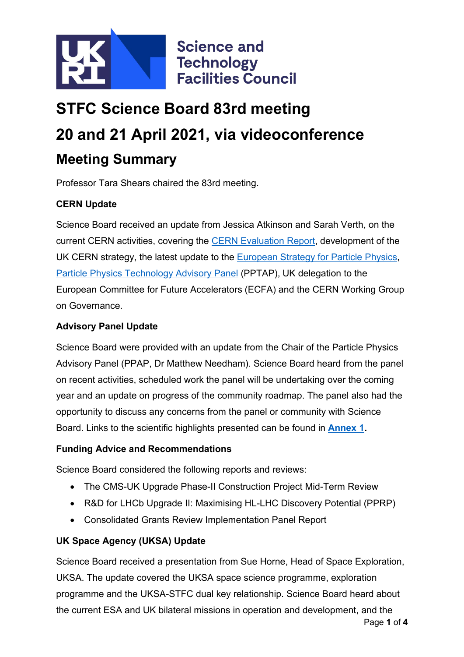

# **STFC Science Board 83rd meeting 20 and 21 April 2021, via videoconference Meeting Summary**

Professor Tara Shears chaired the 83rd meeting.

## **CERN Update**

Science Board received an update from Jessica Atkinson and Sarah Verth, on the current CERN activities, covering the [CERN Evaluation Report,](https://stfc.ukri.org/files/impact-publications/cern-impact-report/) development of the UK CERN strategy, the latest update to the [European Strategy for Particle Physics,](http://cds.cern.ch/record/2721370/files/CERN-ESU-015-2020%20Update%20European%20Strategy.pdf) [Particle Physics Technology Advisory Panel](https://stfc.ukri.org/about-us/how-we-are-governed/advisory-boards/pptap/) (PPTAP), UK delegation to the European Committee for Future Accelerators (ECFA) and the CERN Working Group on Governance.

#### **Advisory Panel Update**

Science Board were provided with an update from the Chair of the Particle Physics Advisory Panel (PPAP, Dr Matthew Needham). Science Board heard from the panel on recent activities, scheduled work the panel will be undertaking over the coming year and an update on progress of the community roadmap. The panel also had the opportunity to discuss any concerns from the panel or community with Science Board. Links to the scientific highlights presented can be found in **[Annex 1.](#page-2-0)** 

## **Funding Advice and Recommendations**

Science Board considered the following reports and reviews:

- The CMS-UK Upgrade Phase-II Construction Project Mid-Term Review
- R&D for LHCb Upgrade II: Maximising HL-LHC Discovery Potential (PPRP)
- Consolidated Grants Review Implementation Panel Report

## **UK Space Agency (UKSA) Update**

Science Board received a presentation from Sue Horne, Head of Space Exploration, UKSA. The update covered the UKSA space science programme, exploration programme and the UKSA-STFC dual key relationship. Science Board heard about the current ESA and UK bilateral missions in operation and development, and the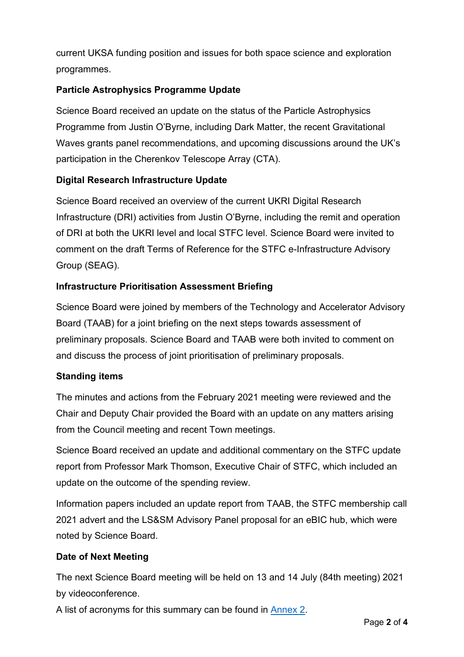current UKSA funding position and issues for both space science and exploration programmes.

#### **Particle Astrophysics Programme Update**

Science Board received an update on the status of the Particle Astrophysics Programme from Justin O'Byrne, including Dark Matter, the recent Gravitational Waves grants panel recommendations, and upcoming discussions around the UK's participation in the Cherenkov Telescope Array (CTA).

#### **Digital Research Infrastructure Update**

Science Board received an overview of the current UKRI Digital Research Infrastructure (DRI) activities from Justin O'Byrne, including the remit and operation of DRI at both the UKRI level and local STFC level. Science Board were invited to comment on the draft Terms of Reference for the STFC e-Infrastructure Advisory Group (SEAG).

#### **Infrastructure Prioritisation Assessment Briefing**

Science Board were joined by members of the Technology and Accelerator Advisory Board (TAAB) for a joint briefing on the next steps towards assessment of preliminary proposals. Science Board and TAAB were both invited to comment on and discuss the process of joint prioritisation of preliminary proposals.

#### **Standing items**

The minutes and actions from the February 2021 meeting were reviewed and the Chair and Deputy Chair provided the Board with an update on any matters arising from the Council meeting and recent Town meetings.

Science Board received an update and additional commentary on the STFC update report from Professor Mark Thomson, Executive Chair of STFC, which included an update on the outcome of the spending review.

Information papers included an update report from TAAB, the STFC membership call 2021 advert and the LS&SM Advisory Panel proposal for an eBIC hub, which were noted by Science Board.

#### **Date of Next Meeting**

The next Science Board meeting will be held on 13 and 14 July (84th meeting) 2021 by videoconference.

A list of acronyms for this summary can be found in [Annex 2.](#page-3-0)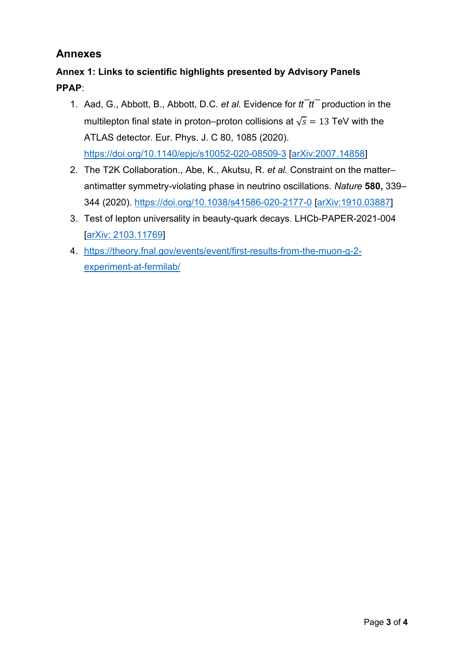# **Annexes**

# <span id="page-2-0"></span>**Annex 1: Links to scientific highlights presented by Advisory Panels PPAP**:

- 1. Aad, G., Abbott, B., Abbott, D.C. *et al.* Evidence for *tt¯tt¯* production in the multilepton final state in proton–proton collisions at  $\sqrt{s} = 13$  TeV with the ATLAS detector. Eur. Phys. J. C 80, 1085 (2020). <https://doi.org/10.1140/epjc/s10052-020-08509-3> [\[arXiv:2007.14858\]](https://arxiv.org/abs/2007.14858)
- 2. The T2K Collaboration., Abe, K., Akutsu, R. *et al.* Constraint on the matter– antimatter symmetry-violating phase in neutrino oscillations. *Nature* **580,** 339– 344 (2020). <https://doi.org/10.1038/s41586-020-2177-0> [\[arXiv:1910.03887\]](https://arxiv.org/abs/1910.03887)
- 3. Test of lepton universality in beauty-quark decays. LHCb-PAPER-2021-004 [\[arXiv: 2103.11769\]](https://arxiv.org/abs/2103.11769)
- 4. [https://theory.fnal.gov/events/event/first-results-from-the-muon-g-2](https://theory.fnal.gov/events/event/first-results-from-the-muon-g-2-experiment-at-fermilab/) [experiment-at-fermilab/](https://theory.fnal.gov/events/event/first-results-from-the-muon-g-2-experiment-at-fermilab/)